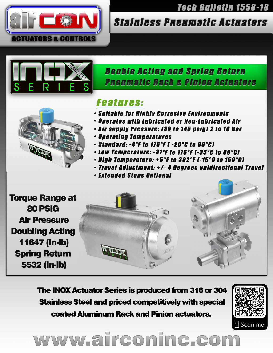

### **Tech Bulletin 1558-18**

## **Stainless Pneumatic Actuators**

## **Double Acting and Spring Return Pneumatic Rack & Pinion Actuators**



## **Features:**

- Suitable for Highly Corrosive Environments
- Operates with Lubricated or Non-Lubricated Air
- · Air supply Pressure: [30 to 145 psig] 2 to 10 Bar
- **Operating Temperatures**
- $\cdot$  Standard: -4°F to 176°F [ -20°C to 80°C]
- $\cdot$  Low Temperature: -31°F to 176°F (-35°C to 80°C)
- $\cdot$  High Temperature: +5°F to 302°F [-15°C to 150°C]
- · Travel Adjustment: +/- 4 Degrees unidirectional Travel
- Extended Stops Optional

**Torque Range at** 80 PSIG **Air Pressure Doubling Acting** 11647 (In-Ib) **Spring Return 5532 (In-Ib)** 

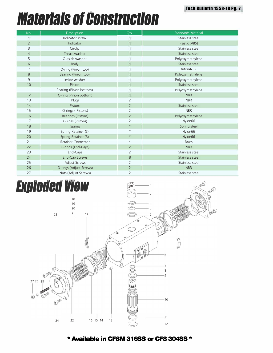## *Materials of Construction* **ruct**

| No.            | <b>Description</b>      | Qty.           | <b>Standards Material</b> |
|----------------|-------------------------|----------------|---------------------------|
|                | Indicator screw         |                | Stainless steel           |
| $\overline{2}$ | Indicator               |                | Plastic (ABS)             |
| 3              | Circlip                 |                | Stainless steel           |
| $\overline{4}$ | Thrust washer           |                | Stainless steel           |
| 5              | Outside washer          |                | Polyoxymethylene          |
| $\sigma$       | Body                    |                | Stainless steel           |
| 7              | O-ring (Pinion top)     |                | Viton/NBR                 |
| 8              | Bearing (Pinion top)    |                | Polyoxymethylene          |
| 9              | Inside washer           |                | Polyoxymethylene          |
| 10             | Pinion                  |                | Stainless steel           |
| 11             | Bearing (Pinion bottom) |                | Polyoxymethylene          |
| 12             | O-ring (Pinion bottom)  |                | <b>NBR</b>                |
| 13             | Plugs                   | $\overline{2}$ | <b>NBR</b>                |
| 14             | Pistons                 | $\overline{2}$ | Stainless steel           |
| 15             | O-rings (Pistons)       | $\overline{2}$ | <b>NBR</b>                |
| 16             | Bearings (Pistons)      | $\overline{2}$ | Polyoxymethylene          |
| 17             | Guides (Pistons)        | $\overline{2}$ | Nylon66                   |
| 18             | Spring                  | $\star$        | Spring steel              |
| 19             | Spring Retainer (L)     | $\star$        | Nylon66                   |
| 20             | Spring Retainer (R)     | $\star$        | Nylon66                   |
| 21             | Retainer Connector      | $\star$        | <b>Brass</b>              |
| 22             | O-rings (End-Caps)      | $\overline{2}$ | <b>NBR</b>                |
| 23             | End-Caps                | $\overline{2}$ | Stainless steel           |
| 24             | End-Cap Screws          | 8              | Stainless steel           |
| 25             | Adjust Screws           | $\overline{2}$ | Stainless steel           |
| 26             | O-rings (Adjust Screws) | $\overline{2}$ | <b>NBR</b>                |
| 27             | Nuts (Adjust Screws)    | $\overline{2}$ | Stainless steel           |



\* **Available in CFSM 31655 or CFS 30455** \*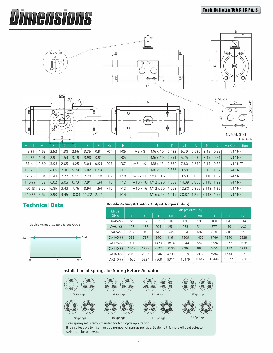### **Tech Bulletin 1558-18 Pu. 3**

B

# **Dimensions**



|                                                          |  |  | 85-SS   2.60   3.98   2.05   4.25   5.04   0.94   FU5 |            |     | FU7             |                                                            | NO X 10   NO X 13   0.669   7.80   0.630   3.15   0.83 |                                      |  | $1/4$ NPI |
|----------------------------------------------------------|--|--|-------------------------------------------------------|------------|-----|-----------------|------------------------------------------------------------|--------------------------------------------------------|--------------------------------------|--|-----------|
| $105-Ss$ 3.15 4.65 2.36 5.24                             |  |  | 6.02                                                  | 0.94       |     | F <sub>07</sub> |                                                            | $M8 \times 13$                                         | $0.866$   9.88 $ 0.630 $ 3.15   1.02 |  | 1/4" NPT  |
| $125-Ss$ 3.94 5.43 2.72 6.11 7.28                        |  |  |                                                       | 1.10       | FO7 | F <sub>10</sub> |                                                            | M8 x 13 M10 x 16 0.866 9.53 0.866 5.118 1.02           |                                      |  | 1/4" NPT  |
| $140-SS$   4.53   6.02   3.03   6.73   7.91   1.34   F10 |  |  |                                                       |            |     | F <sub>12</sub> | M10 x 16   M12 x 20   1.063   14.09   0.866   5.118   1.22 |                                                        |                                      |  | 1/4" NPT  |
| 160-SS   5.20   6.85   3.43   7.76   8.94                |  |  |                                                       | $1.54$ F10 |     | F <sub>12</sub> | M10 x 16   M12 x 20   1.063   12.80   0.866   5.118   1.22 |                                                        |                                      |  | 1/4" NPT  |
| 210-SS 5.67 8.90 4.45 10.04 11.22 2.17                   |  |  |                                                       |            |     | F14             |                                                            | M16 x 25   1.417   20.87   1.260   5.118   1.57        |                                      |  | 1/4" NPT  |
|                                                          |  |  |                                                       |            |     |                 |                                                            |                                                        |                                      |  |           |



### **Technical Data Double Acting Actuators Output Torque (lbf-in)**

| Model     | Air pressure (Psi) |      |      |      |       |       |       |       |       |  |  |  |  |  |  |
|-----------|--------------------|------|------|------|-------|-------|-------|-------|-------|--|--|--|--|--|--|
| Style     | 30                 | 40   | 50   | 60   | 70.   | 80    | 90    | 100   | 120   |  |  |  |  |  |  |
| $DA45-SS$ | 53                 | 67   | 87   | 107  | 120   | 133   | 160   | 178   | 214   |  |  |  |  |  |  |
| $DA60-SS$ | 125                | 157  | 204  | 251  | 283   | 314   | 377   | 419   | 502   |  |  |  |  |  |  |
| DA85-SS   | 272                | 340  | 443  | 545  | 614   | 682   | 818   | 910   | 1091  |  |  |  |  |  |  |
| DA105-SS  | 582                | 727  | 946  | 1164 | 1309  | 1455  | 1746  | 1940  | 2328  |  |  |  |  |  |  |
| DA125-SS  | 911                | 1132 | 1473 | 1814 | 2044  | 2265  | 2726  | 3027  | 3628  |  |  |  |  |  |  |
| DA140-SS  | 1548               | 1938 | 2522 | 3106 | 3496  | 3885  | 4655  | 5172  | 6213  |  |  |  |  |  |  |
| DA160-SS  | 2363               | 2956 | 3846 | 4735 | 5319  | 5912  | 7098  | 7883  | 9461  |  |  |  |  |  |  |
| DA210-SS  | 4656               | 5824 | 7568 | 9311 | 10479 | 11647 | 13444 | 15527 | 18631 |  |  |  |  |  |  |

### **Installation of Springs for Spring Return Actuator**



Even spring set is recommended for high cycle application. It is also feasible to insert an odd number of springs per side. By doing this more efficient actuator sizing can be achieved.